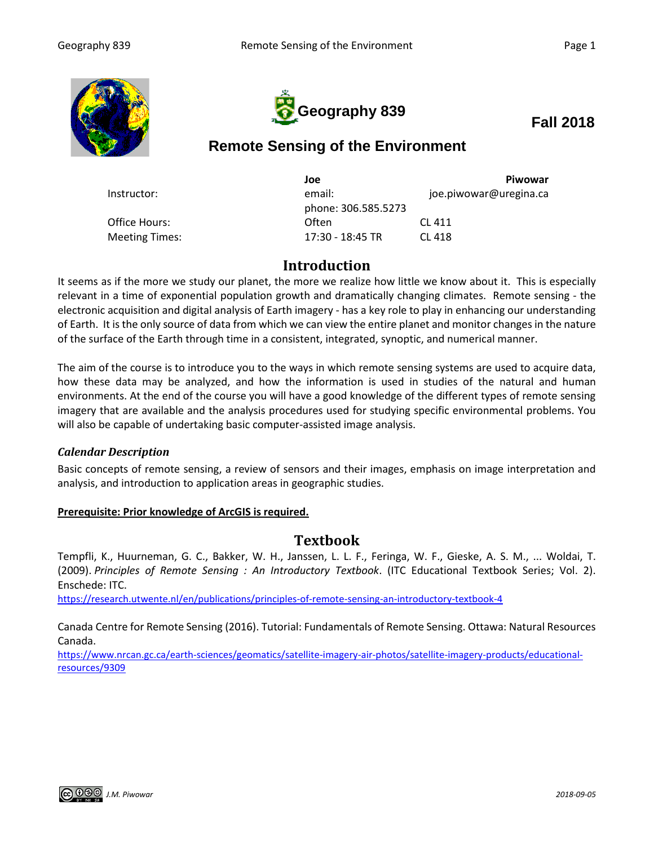



## **Fall 2018**

# **Remote Sensing of the Environment**

|                       | Joe                 | Piwowar                |
|-----------------------|---------------------|------------------------|
| Instructor:           | email:              | joe.piwowar@uregina.ca |
|                       | phone: 306.585.5273 |                        |
| Office Hours:         | Often               | CL 411                 |
| <b>Meeting Times:</b> | 17:30 - 18:45 TR    | CL 418                 |

## **Introduction**

It seems as if the more we study our planet, the more we realize how little we know about it. This is especially relevant in a time of exponential population growth and dramatically changing climates. Remote sensing - the electronic acquisition and digital analysis of Earth imagery - has a key role to play in enhancing our understanding of Earth. It is the only source of data from which we can view the entire planet and monitor changes in the nature of the surface of the Earth through time in a consistent, integrated, synoptic, and numerical manner.

The aim of the course is to introduce you to the ways in which remote sensing systems are used to acquire data, how these data may be analyzed, and how the information is used in studies of the natural and human environments. At the end of the course you will have a good knowledge of the different types of remote sensing imagery that are available and the analysis procedures used for studying specific environmental problems. You will also be capable of undertaking basic computer-assisted image analysis.

#### *Calendar Description*

Basic concepts of remote sensing, a review of sensors and their images, emphasis on image interpretation and analysis, and introduction to application areas in geographic studies.

#### **Prerequisite: Prior knowledge of ArcGIS is required.**

### **Textbook**

Tempfli, K., Huurneman, G. C., Bakker, W. H., Janssen, L. L. F., Feringa, W. F., Gieske, A. S. M., ... Woldai, T. (2009). *Principles of Remote Sensing : An Introductory Textbook*. (ITC Educational Textbook Series; Vol. 2). Enschede: ITC.

<https://research.utwente.nl/en/publications/principles-of-remote-sensing-an-introductory-textbook-4>

Canada Centre for Remote Sensing (2016). Tutorial: Fundamentals of Remote Sensing. Ottawa: Natural Resources Canada.

[https://www.nrcan.gc.ca/earth-sciences/geomatics/satellite-imagery-air-photos/satellite-imagery-products/educational](https://www.nrcan.gc.ca/earth-sciences/geomatics/satellite-imagery-air-photos/satellite-imagery-products/educational-resources/9309)[resources/9309](https://www.nrcan.gc.ca/earth-sciences/geomatics/satellite-imagery-air-photos/satellite-imagery-products/educational-resources/9309)

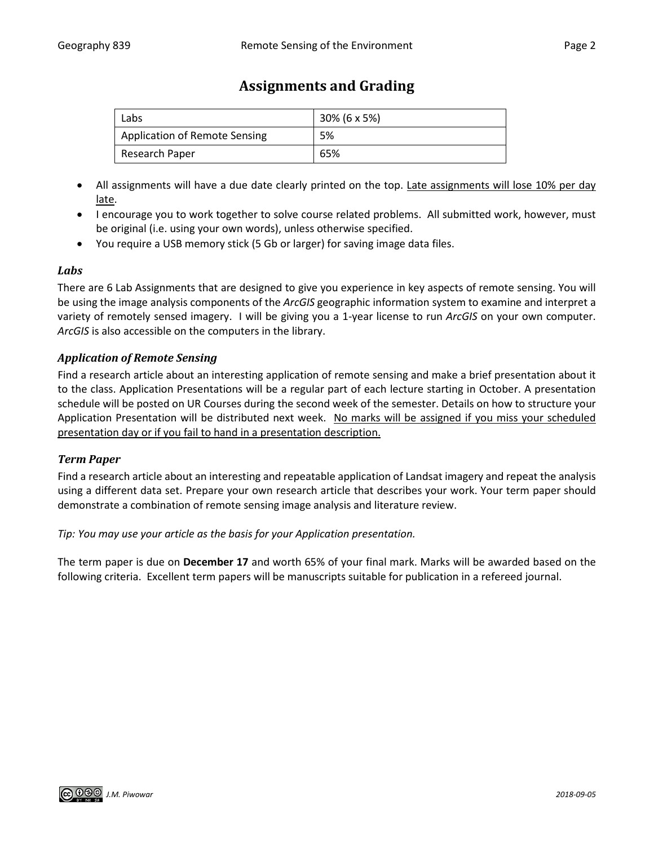## **Assignments and Grading**

| Labs                                 | 30% (6 x 5%) |
|--------------------------------------|--------------|
| <b>Application of Remote Sensing</b> | 5%           |
| Research Paper                       | 65%          |

- All assignments will have a due date clearly printed on the top. Late assignments will lose 10% per day late.
- I encourage you to work together to solve course related problems. All submitted work, however, must be original (i.e. using your own words), unless otherwise specified.
- You require a USB memory stick (5 Gb or larger) for saving image data files.

#### *Labs*

There are 6 Lab Assignments that are designed to give you experience in key aspects of remote sensing. You will be using the image analysis components of the *ArcGIS* geographic information system to examine and interpret a variety of remotely sensed imagery. I will be giving you a 1-year license to run *ArcGIS* on your own computer. *ArcGIS* is also accessible on the computers in the library.

#### *Application of Remote Sensing*

Find a research article about an interesting application of remote sensing and make a brief presentation about it to the class. Application Presentations will be a regular part of each lecture starting in October. A presentation schedule will be posted on UR Courses during the second week of the semester. Details on how to structure your Application Presentation will be distributed next week. No marks will be assigned if you miss your scheduled presentation day or if you fail to hand in a presentation description.

#### *Term Paper*

Find a research article about an interesting and repeatable application of Landsat imagery and repeat the analysis using a different data set. Prepare your own research article that describes your work. Your term paper should demonstrate a combination of remote sensing image analysis and literature review.

#### *Tip: You may use your article as the basis for your Application presentation.*

The term paper is due on **December 17** and worth 65% of your final mark. Marks will be awarded based on the following criteria. Excellent term papers will be manuscripts suitable for publication in a refereed journal.

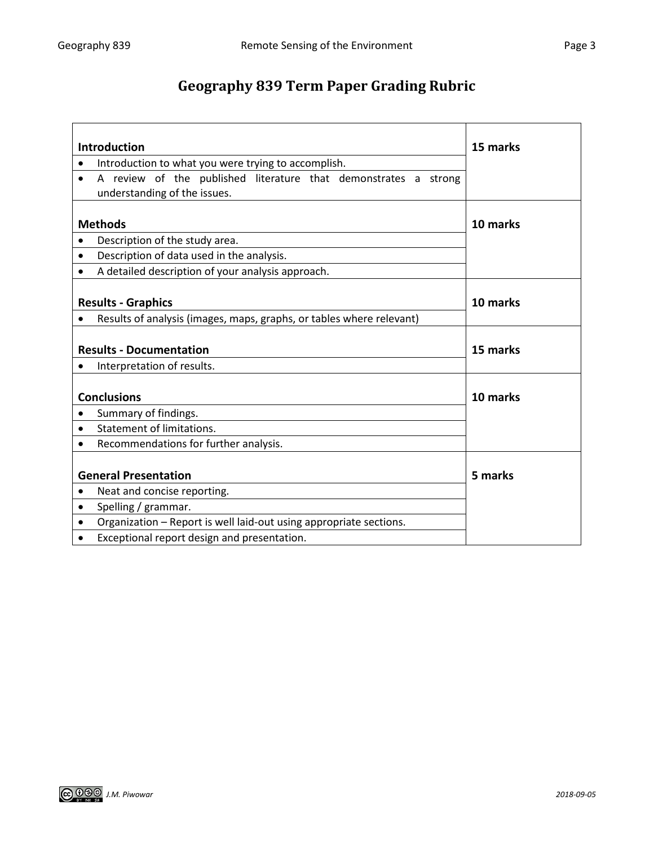# **Geography 839 Term Paper Grading Rubric**

| <b>Introduction</b>                                                                                          | 15 marks |
|--------------------------------------------------------------------------------------------------------------|----------|
| Introduction to what you were trying to accomplish.<br>٠                                                     |          |
| A review of the published literature that demonstrates a strong<br>$\bullet$<br>understanding of the issues. |          |
|                                                                                                              |          |
| <b>Methods</b>                                                                                               | 10 marks |
| Description of the study area.<br>$\bullet$                                                                  |          |
| Description of data used in the analysis.<br>$\bullet$                                                       |          |
| A detailed description of your analysis approach.                                                            |          |
|                                                                                                              |          |
| <b>Results - Graphics</b>                                                                                    | 10 marks |
| Results of analysis (images, maps, graphs, or tables where relevant)                                         |          |
|                                                                                                              |          |
| <b>Results - Documentation</b>                                                                               | 15 marks |
| Interpretation of results.                                                                                   |          |
|                                                                                                              |          |
| <b>Conclusions</b>                                                                                           | 10 marks |
| Summary of findings.<br>٠                                                                                    |          |
| Statement of limitations.<br>٠                                                                               |          |
| Recommendations for further analysis.                                                                        |          |
|                                                                                                              |          |
| <b>General Presentation</b>                                                                                  | 5 marks  |
| Neat and concise reporting.<br>٠                                                                             |          |
| Spelling / grammar.<br>٠                                                                                     |          |
| Organization - Report is well laid-out using appropriate sections.                                           |          |
| Exceptional report design and presentation.                                                                  |          |